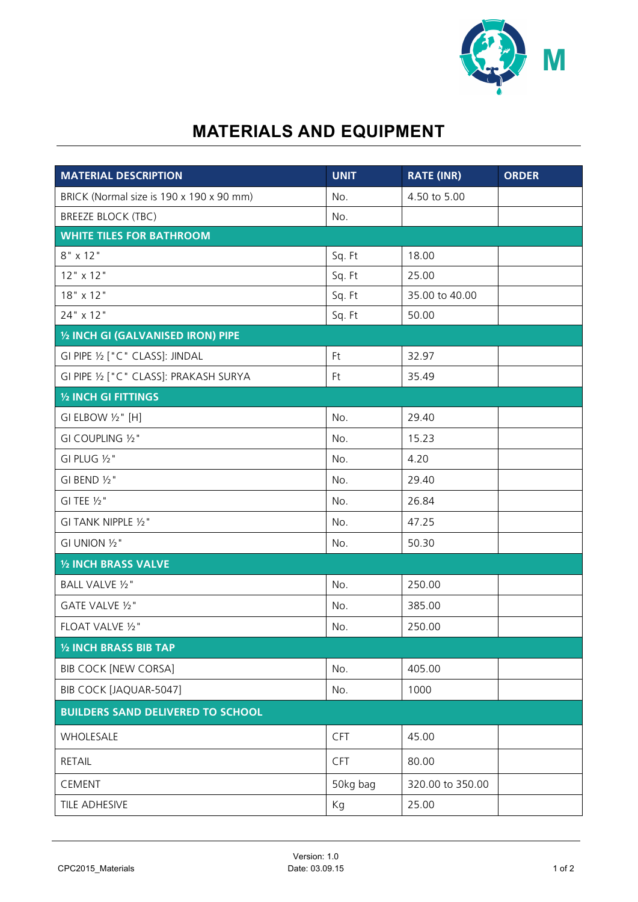

## **MATERIALS AND EQUIPMENT**

| <b>MATERIAL DESCRIPTION</b>              | <b>UNIT</b> | <b>RATE (INR)</b> | <b>ORDER</b> |
|------------------------------------------|-------------|-------------------|--------------|
| BRICK (Normal size is 190 x 190 x 90 mm) | No.         | 4.50 to 5.00      |              |
| <b>BREEZE BLOCK (TBC)</b>                | No.         |                   |              |
| <b>WHITE TILES FOR BATHROOM</b>          |             |                   |              |
| $8" \times 12"$                          | Sq. Ft      | 18.00             |              |
| $12"$ x 12"                              | Sq. Ft      | 25.00             |              |
| 18" x 12"                                | Sq. Ft      | 35.00 to 40.00    |              |
| 24" x 12"                                | Sq. Ft      | 50.00             |              |
| 1/2 INCH GI (GALVANISED IRON) PIPE       |             |                   |              |
| GI PIPE 1/2 ["C" CLASS]: JINDAL          | Ft          | 32.97             |              |
| GI PIPE 1/2 ["C" CLASS]: PRAKASH SURYA   | Ft          | 35.49             |              |
| 1/2 INCH GI FITTINGS                     |             |                   |              |
| GI ELBOW 1/2" [H]                        | No.         | 29.40             |              |
| GI COUPLING 1/2"                         | No.         | 15.23             |              |
| GI PLUG 1/2"                             | No.         | 4.20              |              |
| GI BEND 1/2"                             | No.         | 29.40             |              |
| GI TEE $1/2$ "                           | No.         | 26.84             |              |
| GI TANK NIPPLE 1/2"                      | No.         | 47.25             |              |
| GI UNION 1/2"                            | No.         | 50.30             |              |
| 1/2 INCH BRASS VALVE                     |             |                   |              |
| <b>BALL VALVE 1/2"</b>                   | No.         | 250.00            |              |
| GATE VALVE 1/2"                          | No.         | 385.00            |              |
| FLOAT VALVE 1/2"                         | No.         | 250.00            |              |
| 1/2 INCH BRASS BIB TAP                   |             |                   |              |
| <b>BIB COCK [NEW CORSA]</b>              | No.         | 405.00            |              |
| BIB COCK [JAQUAR-5047]                   | No.         | 1000              |              |
| <b>BUILDERS SAND DELIVERED TO SCHOOL</b> |             |                   |              |
| WHOLESALE                                | <b>CFT</b>  | 45.00             |              |
| <b>RETAIL</b>                            | <b>CFT</b>  | 80.00             |              |
| CEMENT                                   | 50kg bag    | 320.00 to 350.00  |              |
| TILE ADHESIVE                            | Kg          | 25.00             |              |